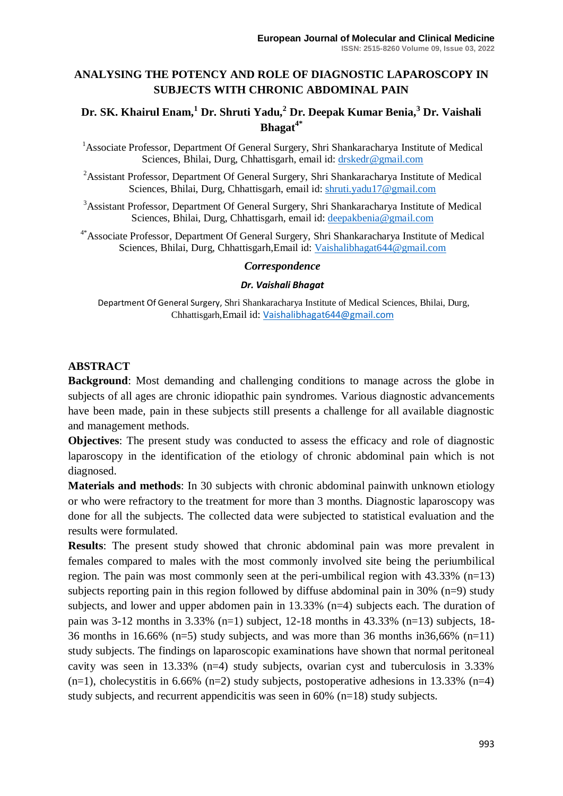## **ANALYSING THE POTENCY AND ROLE OF DIAGNOSTIC LAPAROSCOPY IN SUBJECTS WITH CHRONIC ABDOMINAL PAIN**

# **Dr. SK. Khairul Enam,<sup>1</sup> Dr. Shruti Yadu,<sup>2</sup> Dr. Deepak Kumar Benia,<sup>3</sup> Dr. Vaishali Bhagat4\***

- <sup>1</sup> Associate Professor, Department Of General Surgery, Shri Shankaracharya Institute of Medical Sciences, Bhilai, Durg, Chhattisgarh, email id: [drskedr@gmail.com](mailto:drskedr@gmail.com)
- <sup>2</sup>Assistant Professor, Department Of General Surgery, Shri Shankaracharya Institute of Medical Sciences, Bhilai, Durg, Chhattisgarh, email id: [shruti.yadu17@gmail.com](mailto:shruti.yadu17@gmail.com)

<sup>3</sup>Assistant Professor, Department Of General Surgery, Shri Shankaracharya Institute of Medical Sciences, Bhilai, Durg, Chhattisgarh, email id: [deepakbenia@gmail.com](mailto:deepakbenia@gmail.com)

4\*Associate Professor, Department Of General Surgery, Shri Shankaracharya Institute of Medical Sciences, Bhilai, Durg, Chhattisgarh,Email id: [Vaishalibhagat644@gmail.com](mailto:Vaishalibhagat644@gmail.com)

#### *Correspondence*

#### *Dr. Vaishali Bhagat*

Department Of General Surgery, Shri Shankaracharya Institute of Medical Sciences, Bhilai, Durg, Chhattisgarh,Email id: [Vaishalibhagat644@gmail.com](mailto:Vaishalibhagat644@gmail.com)

#### **ABSTRACT**

**Background**: Most demanding and challenging conditions to manage across the globe in subjects of all ages are chronic idiopathic pain syndromes. Various diagnostic advancements have been made, pain in these subjects still presents a challenge for all available diagnostic and management methods.

**Objectives**: The present study was conducted to assess the efficacy and role of diagnostic laparoscopy in the identification of the etiology of chronic abdominal pain which is not diagnosed.

**Materials and methods**: In 30 subjects with chronic abdominal painwith unknown etiology or who were refractory to the treatment for more than 3 months. Diagnostic laparoscopy was done for all the subjects. The collected data were subjected to statistical evaluation and the results were formulated.

**Results**: The present study showed that chronic abdominal pain was more prevalent in females compared to males with the most commonly involved site being the periumbilical region. The pain was most commonly seen at the peri-umbilical region with  $43.33\%$  (n=13) subjects reporting pain in this region followed by diffuse abdominal pain in 30%  $(n=9)$  study subjects, and lower and upper abdomen pain in 13.33% (n=4) subjects each. The duration of pain was 3-12 months in 3.33% (n=1) subject, 12-18 months in 43.33% (n=13) subjects, 18- 36 months in 16.66% (n=5) study subjects, and was more than 36 months in  $36,66\%$  (n=11) study subjects. The findings on laparoscopic examinations have shown that normal peritoneal cavity was seen in 13.33% (n=4) study subjects, ovarian cyst and tuberculosis in 3.33%  $(n=1)$ , cholecystitis in 6.66%  $(n=2)$  study subjects, postoperative adhesions in 13.33%  $(n=4)$ study subjects, and recurrent appendicitis was seen in 60% (n=18) study subjects.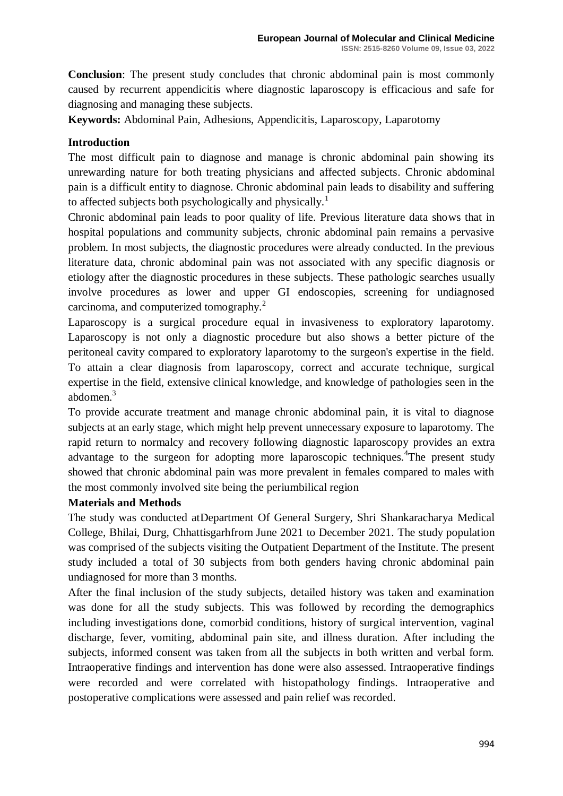**Conclusion**: The present study concludes that chronic abdominal pain is most commonly caused by recurrent appendicitis where diagnostic laparoscopy is efficacious and safe for diagnosing and managing these subjects.

**Keywords:** Abdominal Pain, Adhesions, Appendicitis, Laparoscopy, Laparotomy

## **Introduction**

The most difficult pain to diagnose and manage is chronic abdominal pain showing its unrewarding nature for both treating physicians and affected subjects. Chronic abdominal pain is a difficult entity to diagnose. Chronic abdominal pain leads to disability and suffering to affected subjects both psychologically and physically.<sup>1</sup>

Chronic abdominal pain leads to poor quality of life. Previous literature data shows that in hospital populations and community subjects, chronic abdominal pain remains a pervasive problem. In most subjects, the diagnostic procedures were already conducted. In the previous literature data, chronic abdominal pain was not associated with any specific diagnosis or etiology after the diagnostic procedures in these subjects. These pathologic searches usually involve procedures as lower and upper GI endoscopies, screening for undiagnosed carcinoma, and computerized tomography.<sup>2</sup>

Laparoscopy is a surgical procedure equal in invasiveness to exploratory laparotomy. Laparoscopy is not only a diagnostic procedure but also shows a better picture of the peritoneal cavity compared to exploratory laparotomy to the surgeon's expertise in the field. To attain a clear diagnosis from laparoscopy, correct and accurate technique, surgical expertise in the field, extensive clinical knowledge, and knowledge of pathologies seen in the abdomen.<sup>3</sup>

To provide accurate treatment and manage chronic abdominal pain, it is vital to diagnose subjects at an early stage, which might help prevent unnecessary exposure to laparotomy. The rapid return to normalcy and recovery following diagnostic laparoscopy provides an extra advantage to the surgeon for adopting more laparoscopic techniques.<sup>4</sup>The present study showed that chronic abdominal pain was more prevalent in females compared to males with the most commonly involved site being the periumbilical region

#### **Materials and Methods**

The study was conducted atDepartment Of General Surgery, Shri Shankaracharya Medical College, Bhilai, Durg, Chhattisgarhfrom June 2021 to December 2021. The study population was comprised of the subjects visiting the Outpatient Department of the Institute. The present study included a total of 30 subjects from both genders having chronic abdominal pain undiagnosed for more than 3 months.

After the final inclusion of the study subjects, detailed history was taken and examination was done for all the study subjects. This was followed by recording the demographics including investigations done, comorbid conditions, history of surgical intervention, vaginal discharge, fever, vomiting, abdominal pain site, and illness duration. After including the subjects, informed consent was taken from all the subjects in both written and verbal form. Intraoperative findings and intervention has done were also assessed. Intraoperative findings were recorded and were correlated with histopathology findings. Intraoperative and postoperative complications were assessed and pain relief was recorded.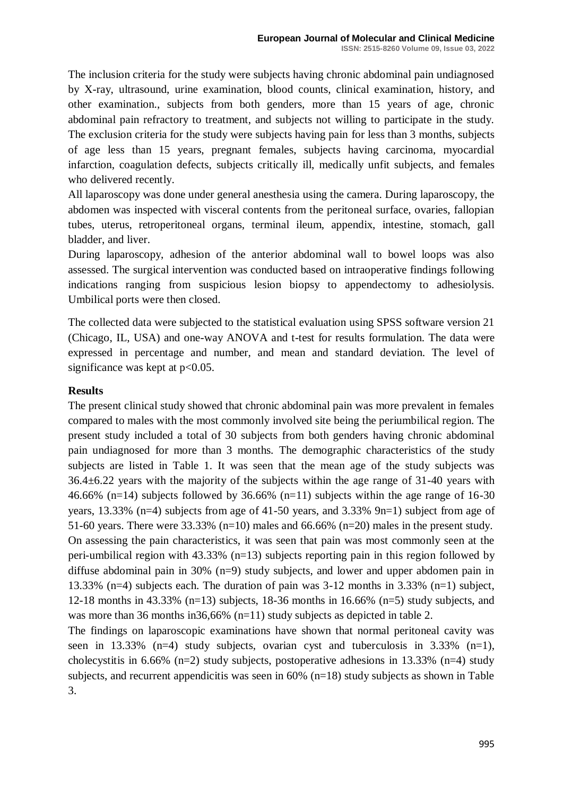The inclusion criteria for the study were subjects having chronic abdominal pain undiagnosed by X-ray, ultrasound, urine examination, blood counts, clinical examination, history, and other examination., subjects from both genders, more than 15 years of age, chronic abdominal pain refractory to treatment, and subjects not willing to participate in the study. The exclusion criteria for the study were subjects having pain for less than 3 months, subjects of age less than 15 years, pregnant females, subjects having carcinoma, myocardial infarction, coagulation defects, subjects critically ill, medically unfit subjects, and females who delivered recently.

All laparoscopy was done under general anesthesia using the camera. During laparoscopy, the abdomen was inspected with visceral contents from the peritoneal surface, ovaries, fallopian tubes, uterus, retroperitoneal organs, terminal ileum, appendix, intestine, stomach, gall bladder, and liver.

During laparoscopy, adhesion of the anterior abdominal wall to bowel loops was also assessed. The surgical intervention was conducted based on intraoperative findings following indications ranging from suspicious lesion biopsy to appendectomy to adhesiolysis. Umbilical ports were then closed.

The collected data were subjected to the statistical evaluation using SPSS software version 21 (Chicago, IL, USA) and one-way ANOVA and t-test for results formulation. The data were expressed in percentage and number, and mean and standard deviation. The level of significance was kept at  $p<0.05$ .

#### **Results**

The present clinical study showed that chronic abdominal pain was more prevalent in females compared to males with the most commonly involved site being the periumbilical region. The present study included a total of 30 subjects from both genders having chronic abdominal pain undiagnosed for more than 3 months. The demographic characteristics of the study subjects are listed in Table 1. It was seen that the mean age of the study subjects was 36.4±6.22 years with the majority of the subjects within the age range of 31-40 years with 46.66% (n=14) subjects followed by 36.66% (n=11) subjects within the age range of 16-30 years, 13.33% (n=4) subjects from age of 41-50 years, and 3.33% 9n=1) subject from age of 51-60 years. There were  $33.33\%$  (n=10) males and 66.66% (n=20) males in the present study.

On assessing the pain characteristics, it was seen that pain was most commonly seen at the peri-umbilical region with 43.33% (n=13) subjects reporting pain in this region followed by diffuse abdominal pain in 30% (n=9) study subjects, and lower and upper abdomen pain in 13.33% (n=4) subjects each. The duration of pain was 3-12 months in 3.33% (n=1) subject, 12-18 months in 43.33% (n=13) subjects, 18-36 months in 16.66% (n=5) study subjects, and was more than 36 months in 36,66% (n=11) study subjects as depicted in table 2.

The findings on laparoscopic examinations have shown that normal peritoneal cavity was seen in 13.33% (n=4) study subjects, ovarian cyst and tuberculosis in 3.33% (n=1), cholecystitis in 6.66% (n=2) study subjects, postoperative adhesions in 13.33% (n=4) study subjects, and recurrent appendicitis was seen in 60% (n=18) study subjects as shown in Table 3.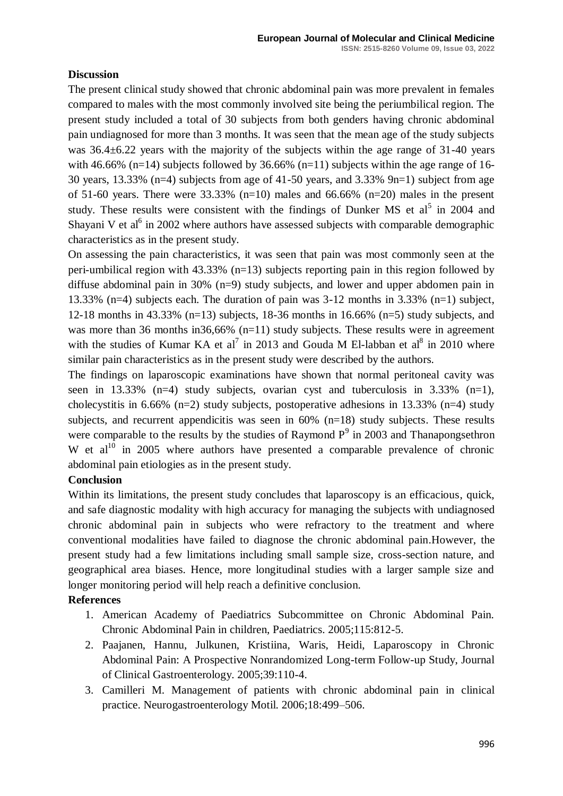## **Discussion**

The present clinical study showed that chronic abdominal pain was more prevalent in females compared to males with the most commonly involved site being the periumbilical region. The present study included a total of 30 subjects from both genders having chronic abdominal pain undiagnosed for more than 3 months. It was seen that the mean age of the study subjects was 36.4±6.22 years with the majority of the subjects within the age range of 31-40 years with 46.66% (n=14) subjects followed by 36.66% (n=11) subjects within the age range of 16-30 years, 13.33% (n=4) subjects from age of 41-50 years, and 3.33% 9n=1) subject from age of 51-60 years. There were  $33.33\%$  (n=10) males and 66.66% (n=20) males in the present study. These results were consistent with the findings of Dunker MS et  $al^5$  in 2004 and Shayani V et  $a^{6}$  in 2002 where authors have assessed subjects with comparable demographic characteristics as in the present study.

On assessing the pain characteristics, it was seen that pain was most commonly seen at the peri-umbilical region with 43.33% (n=13) subjects reporting pain in this region followed by diffuse abdominal pain in 30% (n=9) study subjects, and lower and upper abdomen pain in 13.33% (n=4) subjects each. The duration of pain was 3-12 months in 3.33% (n=1) subject, 12-18 months in 43.33% (n=13) subjects, 18-36 months in 16.66% (n=5) study subjects, and was more than 36 months in 36,66% (n=11) study subjects. These results were in agreement with the studies of Kumar KA et al<sup>7</sup> in 2013 and Gouda M El-labban et al<sup>8</sup> in 2010 where similar pain characteristics as in the present study were described by the authors.

The findings on laparoscopic examinations have shown that normal peritoneal cavity was seen in 13.33% (n=4) study subjects, ovarian cyst and tuberculosis in  $3.33\%$  (n=1), cholecystitis in 6.66% (n=2) study subjects, postoperative adhesions in 13.33% (n=4) study subjects, and recurrent appendicitis was seen in  $60\%$  (n=18) study subjects. These results were comparable to the results by the studies of Raymond  $P<sup>9</sup>$  in 2003 and Thanapongsethron W et  $al^{10}$  in 2005 where authors have presented a comparable prevalence of chronic abdominal pain etiologies as in the present study.

#### **Conclusion**

Within its limitations, the present study concludes that laparoscopy is an efficacious, quick, and safe diagnostic modality with high accuracy for managing the subjects with undiagnosed chronic abdominal pain in subjects who were refractory to the treatment and where conventional modalities have failed to diagnose the chronic abdominal pain.However, the present study had a few limitations including small sample size, cross-section nature, and geographical area biases. Hence, more longitudinal studies with a larger sample size and longer monitoring period will help reach a definitive conclusion.

#### **References**

- 1. American Academy of Paediatrics Subcommittee on Chronic Abdominal Pain. Chronic Abdominal Pain in children, Paediatrics. 2005;115:812-5.
- 2. Paajanen, Hannu, Julkunen, Kristiina, Waris, Heidi, Laparoscopy in Chronic Abdominal Pain: A Prospective Nonrandomized Long-term Follow-up Study, Journal of Clinical Gastroenterology. 2005;39:110-4.
- 3. Camilleri M. Management of patients with chronic abdominal pain in clinical practice. Neurogastroenterology Motil. 2006;18:499–506.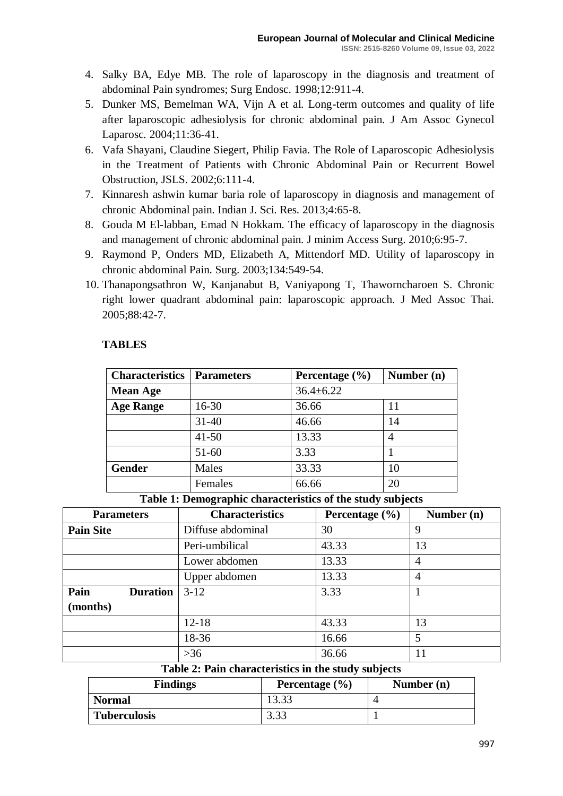- 4. Salky BA, Edye MB. The role of laparoscopy in the diagnosis and treatment of abdominal Pain syndromes; Surg Endosc. 1998;12:911-4.
- 5. Dunker MS, Bemelman WA, Vijn A et al. Long-term outcomes and quality of life after laparoscopic adhesiolysis for chronic abdominal pain. J Am Assoc Gynecol Laparosc*.* 2004;11:36-41.
- 6. Vafa Shayani, Claudine Siegert, Philip Favia. The Role of Laparoscopic Adhesiolysis in the Treatment of Patients with Chronic Abdominal Pain or Recurrent Bowel Obstruction, JSLS. 2002;6:111-4.
- 7. Kinnaresh ashwin kumar baria role of laparoscopy in diagnosis and management of chronic Abdominal pain. Indian J. Sci. Res. 2013;4:65-8.
- 8. Gouda M El-labban, Emad N Hokkam. The efficacy of laparoscopy in the diagnosis and management of chronic abdominal pain. J minim Access Surg. 2010;6:95-7.
- 9. Raymond P, Onders MD, Elizabeth A, Mittendorf MD. Utility of laparoscopy in chronic abdominal Pain. Surg. 2003;134:549-54.
- 10. Thanapongsathron W, Kanjanabut B, Vaniyapong T, Thaworncharoen S. Chronic right lower quadrant abdominal pain: laparoscopic approach. J Med Assoc Thai. 2005;88:42-7.

# **TABLES**

| <b>Characteristics</b> | <b>Parameters</b> | Percentage $(\% )$ | Number (n) |
|------------------------|-------------------|--------------------|------------|
| <b>Mean Age</b>        |                   | $36.4 \pm 6.22$    |            |
| <b>Age Range</b>       | $16 - 30$         | 36.66              | 11         |
|                        | $31 - 40$         | 46.66              | 14         |
|                        | $41 - 50$         | 13.33              | 4          |
|                        | $51 - 60$         | 3.33               |            |
| <b>Gender</b>          | Males             | 33.33              | 10         |
|                        | Females           | 66.66              | 20         |

**Table 1: Demographic characteristics of the study subjects**

| <b>Parameters</b>       | <b>Characteristics</b> | Percentage $(\% )$ | Number (n)     |
|-------------------------|------------------------|--------------------|----------------|
| <b>Pain Site</b>        | Diffuse abdominal      | 30                 | 9              |
|                         | Peri-umbilical         | 43.33              | 13             |
|                         | Lower abdomen          | 13.33              | $\overline{4}$ |
|                         | Upper abdomen          | 13.33              | $\overline{4}$ |
| Pain<br><b>Duration</b> | $3 - 12$               | 3.33               |                |
| (months)                |                        |                    |                |
|                         | $12 - 18$              | 43.33              | 13             |
|                         | 18-36                  | 16.66              | 5              |
|                         | $>36$                  | 36.66              | 11             |

#### **Table 2: Pain characteristics in the study subjects**

| <b>Findings</b>     | Percentage $(\% )$ | Number $(n)$ |
|---------------------|--------------------|--------------|
| <b>Normal</b>       | 13.33              |              |
| <b>Tuberculosis</b> | 3.33               |              |